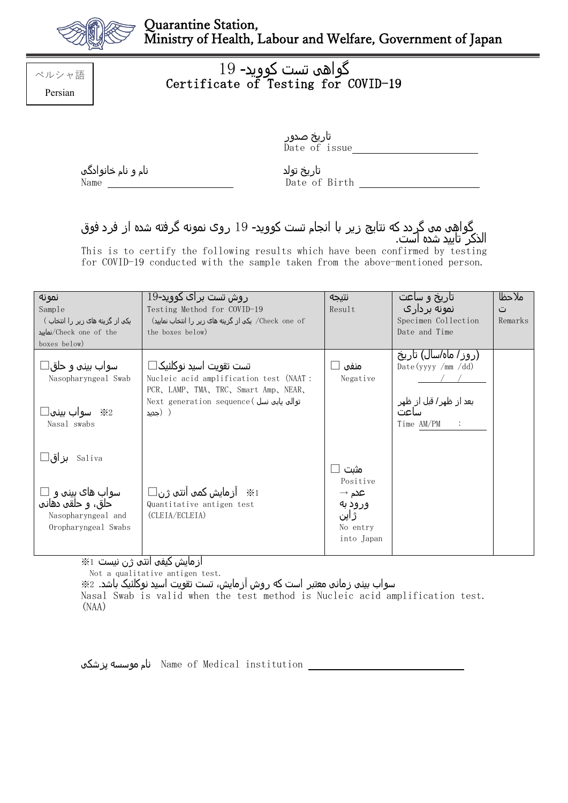

## گواهی تست کووید- 19 Certificate of Testing for COVID-19

 تاریخ صدور Date of issue

 تاریخ تولد نام و نام خانوادگی Name Date of Birth

## گواهی می گردد که نتایج زیر با انجام تست کووید- 19 روی نمونه گرفته شده از فرد فوق الذکر تایید شده است.

This is to certify the following results which have been confirmed by testing for COVID-19 conducted with the sample taken from the above-mentioned person.

| نمونه<br>Sample<br>یکه از گزینه های زیر را انتخاب )<br>Check one of the<br>boxes below)                    | ر وش تست بر اک کووید-19<br>Testing Method for COVID-19<br>Check one of/ یکی از گزینه های زیر را انتخاب نمایید)<br>the boxes below)                             | نتيجه<br>Result                                                                           | تاریخ و ساعت<br>نمونه برداري<br>Specimen Collection<br>Date and Time                                       | ملاحظا<br>ت<br>Remarks |
|------------------------------------------------------------------------------------------------------------|----------------------------------------------------------------------------------------------------------------------------------------------------------------|-------------------------------------------------------------------------------------------|------------------------------------------------------------------------------------------------------------|------------------------|
| سواب بینی و حلق⊡<br>Nasopharyngeal Swab<br>$\square$ سواب بینی $\gg$<br>Nasal swabs                        | تست نقويت اسيد نوكلئيک⊟<br>Nucleic acid amplification test (NAAT :<br>PCR、LAMP、TMA、TRC、Smart Amp、NEAR、<br>توالی یابی نسل ) Next generation sequence<br>( (حدید | منفي<br>Negative                                                                          | (روز / ماہ/سال) تاریخ<br>Date (yyyy /mm /dd)<br>بعد از ظهر/ قبل از ظهر<br>ساعت<br>Time AM/PM<br>$\sim 100$ |                        |
| _بز اق⊡<br>Saliva<br>سواب های بینی و ⊡<br>ُحَلق، و حلقي دهاني<br>Nasopharyngeal and<br>Oropharyngeal Swabs | $\Box$ ایش کمی آنتی ژن $\Box$<br>Quantitative antigen test<br>(CLEIA/ECLEIA)                                                                                   | مثىت<br>Positive<br>$\rightarrow$ عدم $\sim$<br>ورود به<br>ژاپن<br>No entry<br>into Japan |                                                                                                            |                        |

آزمایش کیفی آنتی ژن نیست 1※

Not a qualitative antigen test.

سواب بینی زمانی معتبر است که روش آزمایش، تست تقویت اسید نوکلئیک باشد. 2※

Nasal Swab is valid when the test method is Nucleic acid amplification test. (NAA)

پزشکی موسسه نام Name of Medical institution

ペルシャ語 Persian